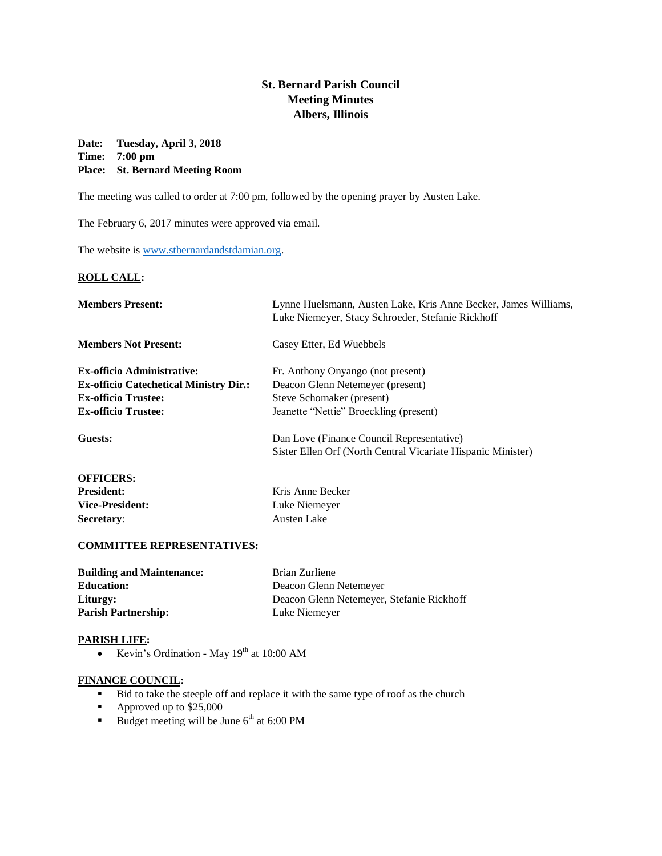# **St. Bernard Parish Council Meeting Minutes Albers, Illinois**

# **Date: Tuesday, April 3, 2018 Time: 7:00 pm Place: St. Bernard Meeting Room**

The meeting was called to order at 7:00 pm, followed by the opening prayer by Austen Lake.

The February 6, 2017 minutes were approved via email.

The website is [www.stbernardandstdamian.org.](http://www.stbernardandstdamian.org/)

# **ROLL CALL:**

| <b>Members Present:</b>                       | Lynne Huelsmann, Austen Lake, Kris Anne Becker, James Williams,<br>Luke Niemeyer, Stacy Schroeder, Stefanie Rickhoff |
|-----------------------------------------------|----------------------------------------------------------------------------------------------------------------------|
| <b>Members Not Present:</b>                   | Casey Etter, Ed Wuebbels                                                                                             |
| <b>Ex-officio Administrative:</b>             | Fr. Anthony Onyango (not present)                                                                                    |
| <b>Ex-officio Catechetical Ministry Dir.:</b> | Deacon Glenn Netemeyer (present)                                                                                     |
| <b>Ex-officio Trustee:</b>                    | Steve Schomaker (present)                                                                                            |
| <b>Ex-officio Trustee:</b>                    | Jeanette "Nettie" Broeckling (present)                                                                               |
| Guests:                                       | Dan Love (Finance Council Representative)                                                                            |
|                                               | Sister Ellen Orf (North Central Vicariate Hispanic Minister)                                                         |
| <b>OFFICERS:</b>                              |                                                                                                                      |
| <b>President:</b>                             | Kris Anne Becker                                                                                                     |
| <b>Vice-President:</b>                        | Luke Niemeyer                                                                                                        |
| Secretary:                                    | <b>Austen Lake</b>                                                                                                   |

#### **COMMITTEE REPRESENTATIVES:**

| <b>Building and Maintenance:</b> | Brian Zurliene                            |
|----------------------------------|-------------------------------------------|
| <b>Education:</b>                | Deacon Glenn Netemeyer                    |
| Liturgy:                         | Deacon Glenn Netemeyer, Stefanie Rickhoff |
| <b>Parish Partnership:</b>       | Luke Niemeyer                             |

#### **PARISH LIFE:**

• Kevin's Ordination - May  $19<sup>th</sup>$  at 10:00 AM

# **FINANCE COUNCIL:**

- Bid to take the steeple off and replace it with the same type of roof as the church
- Approved up to \$25,000
- Budget meeting will be June  $6<sup>th</sup>$  at 6:00 PM